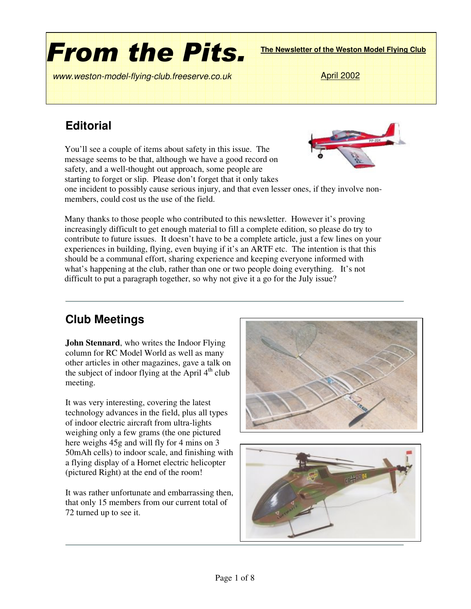

www.weston-model-flying-club.freeserve.co.uk April 2002

### **Editorial**

You'll see a couple of items about safety in this issue. The message seems to be that, although we have a good record on safety, and a well-thought out approach, some people are starting to forget or slip. Please don't forget that it only takes



one incident to possibly cause serious injury, and that even lesser ones, if they involve nonmembers, could cost us the use of the field.

Many thanks to those people who contributed to this newsletter. However it's proving increasingly difficult to get enough material to fill a complete edition, so please do try to contribute to future issues. It doesn't have to be a complete article, just a few lines on your experiences in building, flying, even buying if it's an ARTF etc. The intention is that this should be a communal effort, sharing experience and keeping everyone informed with what's happening at the club, rather than one or two people doing everything. It's not difficult to put a paragraph together, so why not give it a go for the July issue?

#### **Club Meetings**

**John Stennard**, who writes the Indoor Flying column for RC Model World as well as many other articles in other magazines, gave a talk on the subject of indoor flying at the April 4<sup>th</sup> club meeting.

It was very interesting, covering the latest technology advances in the field, plus all types of indoor electric aircraft from ultra-lights weighing only a few grams (the one pictured here weighs 45g and will fly for 4 mins on 3 50mAh cells) to indoor scale, and finishing with a flying display of a Hornet electric helicopter (pictured Right) at the end of the room!

It was rather unfortunate and embarrassing then, that only 15 members from our current total of 72 turned up to see it.



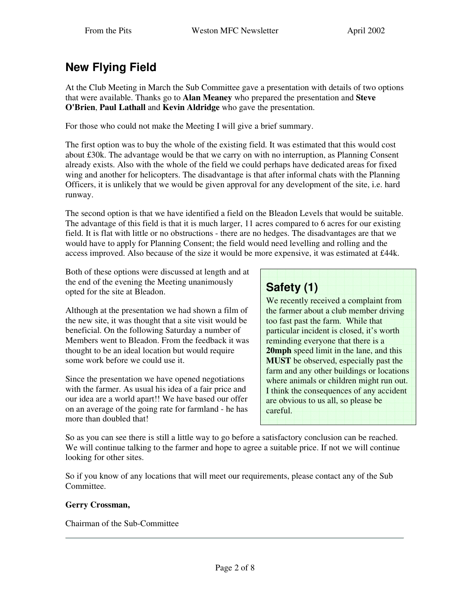# **New Flying Field**

At the Club Meeting in March the Sub Committee gave a presentation with details of two options that were available. Thanks go to **Alan Meaney** who prepared the presentation and **Steve O'Brien**, **Paul Lathall** and **Kevin Aldridge** who gave the presentation.

For those who could not make the Meeting I will give a brief summary.

The first option was to buy the whole of the existing field. It was estimated that this would cost about £30k. The advantage would be that we carry on with no interruption, as Planning Consent already exists. Also with the whole of the field we could perhaps have dedicated areas for fixed wing and another for helicopters. The disadvantage is that after informal chats with the Planning Officers, it is unlikely that we would be given approval for any development of the site, i.e. hard runway.

The second option is that we have identified a field on the Bleadon Levels that would be suitable. The advantage of this field is that it is much larger, 11 acres compared to 6 acres for our existing field. It is flat with little or no obstructions - there are no hedges. The disadvantages are that we would have to apply for Planning Consent; the field would need levelling and rolling and the access improved. Also because of the size it would be more expensive, it was estimated at £44k.

Both of these options were discussed at length and at the end of the evening the Meeting unanimously opted for the site at Bleadon.

Although at the presentation we had shown a film of the new site, it was thought that a site visit would be beneficial. On the following Saturday a number of Members went to Bleadon. From the feedback it was thought to be an ideal location but would require some work before we could use it.

Since the presentation we have opened negotiations with the farmer. As usual his idea of a fair price and our idea are a world apart!! We have based our offer on an average of the going rate for farmland - he has more than doubled that!

# **Safety (1)**

We recently received a complaint from the farmer about a club member driving too fast past the farm. While that particular incident is closed, it's worth reminding everyone that there is a **20mph** speed limit in the lane, and this **MUST** be observed, especially past the farm and any other buildings or locations where animals or children might run out. I think the consequences of any accident are obvious to us all, so please be careful.

So as you can see there is still a little way to go before a satisfactory conclusion can be reached. We will continue talking to the farmer and hope to agree a suitable price. If not we will continue looking for other sites.

So if you know of any locations that will meet our requirements, please contact any of the Sub Committee.

#### **Gerry Crossman,**

Chairman of the Sub-Committee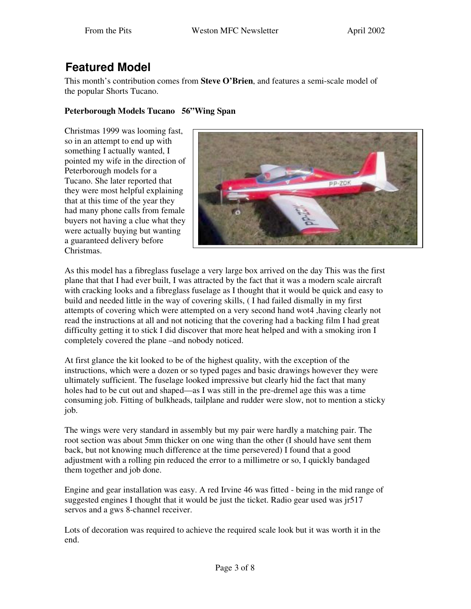### **Featured Model**

This month's contribution comes from **Steve O'Brien**, and features a semi-scale model of the popular Shorts Tucano.

#### **Peterborough Models Tucano 56"Wing Span**

Christmas 1999 was looming fast, so in an attempt to end up with something I actually wanted, I pointed my wife in the direction of Peterborough models for a Tucano. She later reported that they were most helpful explaining that at this time of the year they had many phone calls from female buyers not having a clue what they were actually buying but wanting a guaranteed delivery before Christmas.



As this model has a fibreglass fuselage a very large box arrived on the day This was the first plane that that I had ever built, I was attracted by the fact that it was a modern scale aircraft with cracking looks and a fibreglass fuselage as I thought that it would be quick and easy to build and needed little in the way of covering skills, ( I had failed dismally in my first attempts of covering which were attempted on a very second hand wot4 ,having clearly not read the instructions at all and not noticing that the covering had a backing film I had great difficulty getting it to stick I did discover that more heat helped and with a smoking iron I completely covered the plane –and nobody noticed.

At first glance the kit looked to be of the highest quality, with the exception of the instructions, which were a dozen or so typed pages and basic drawings however they were ultimately sufficient. The fuselage looked impressive but clearly hid the fact that many holes had to be cut out and shaped—as I was still in the pre-dremel age this was a time consuming job. Fitting of bulkheads, tailplane and rudder were slow, not to mention a sticky job.

The wings were very standard in assembly but my pair were hardly a matching pair. The root section was about 5mm thicker on one wing than the other (I should have sent them back, but not knowing much difference at the time persevered) I found that a good adjustment with a rolling pin reduced the error to a millimetre or so, I quickly bandaged them together and job done.

Engine and gear installation was easy. A red Irvine 46 was fitted - being in the mid range of suggested engines I thought that it would be just the ticket. Radio gear used was jr517 servos and a gws 8-channel receiver.

Lots of decoration was required to achieve the required scale look but it was worth it in the end.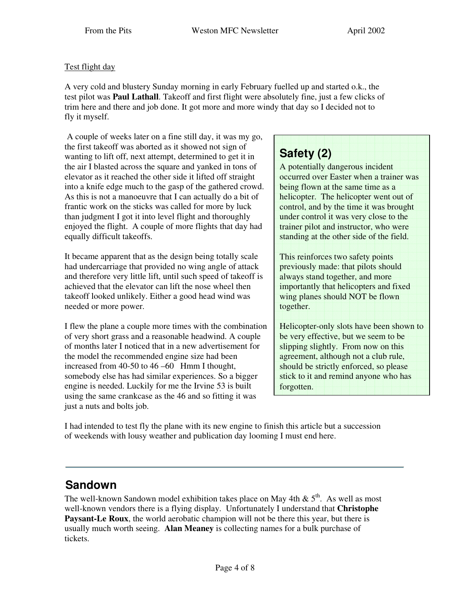#### Test flight day

A very cold and blustery Sunday morning in early February fuelled up and started o.k., the test pilot was **Paul Lathall**. Takeoff and first flight were absolutely fine, just a few clicks of trim here and there and job done. It got more and more windy that day so I decided not to fly it myself.

A couple of weeks later on a fine still day, it was my go, the first takeoff was aborted as it showed not sign of wanting to lift off, next attempt, determined to get it in the air I blasted across the square and yanked in tons of elevator as it reached the other side it lifted off straight into a knife edge much to the gasp of the gathered crowd. As this is not a manoeuvre that I can actually do a bit of frantic work on the sticks was called for more by luck than judgment I got it into level flight and thoroughly enjoyed the flight. A couple of more flights that day had equally difficult takeoffs.

It became apparent that as the design being totally scale had undercarriage that provided no wing angle of attack and therefore very little lift, until such speed of takeoff is achieved that the elevator can lift the nose wheel then takeoff looked unlikely. Either a good head wind was needed or more power.

I flew the plane a couple more times with the combination of very short grass and a reasonable headwind. A couple of months later I noticed that in a new advertisement for the model the recommended engine size had been increased from 40-50 to 46 –60 Hmm I thought, somebody else has had similar experiences. So a bigger engine is needed. Luckily for me the Irvine 53 is built using the same crankcase as the 46 and so fitting it was just a nuts and bolts job.

### **Safety (2)**

A potentially dangerous incident occurred over Easter when a trainer was being flown at the same time as a helicopter. The helicopter went out of control, and by the time it was brought under control it was very close to the trainer pilot and instructor, who were standing at the other side of the field.

This reinforces two safety points previously made: that pilots should always stand together, and more importantly that helicopters and fixed wing planes should NOT be flown together.

Helicopter-only slots have been shown to be very effective, but we seem to be slipping slightly. From now on this agreement, although not a club rule, should be strictly enforced, so please stick to it and remind anyone who has forgotten.

I had intended to test fly the plane with its new engine to finish this article but a succession of weekends with lousy weather and publication day looming I must end here.

### **Sandown**

The well-known Sandown model exhibition takes place on May 4th  $\& 5<sup>th</sup>$ . As well as most well-known vendors there is a flying display. Unfortunately I understand that **Christophe Paysant-Le Roux**, the world aerobatic champion will not be there this year, but there is usually much worth seeing. **Alan Meaney** is collecting names for a bulk purchase of tickets.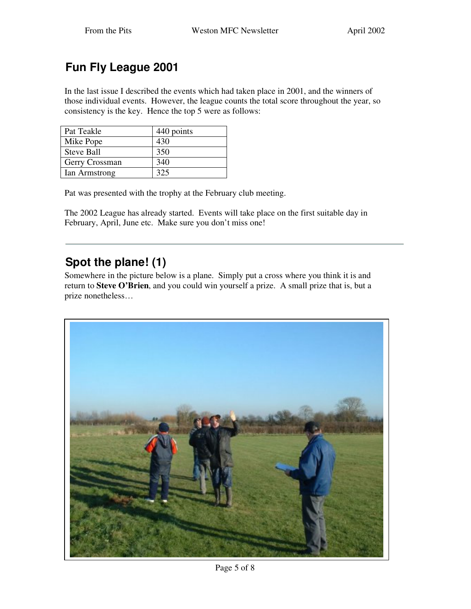# **Fun Fly League 2001**

In the last issue I described the events which had taken place in 2001, and the winners of those individual events. However, the league counts the total score throughout the year, so consistency is the key. Hence the top 5 were as follows:

| Pat Teakle        | 440 points |
|-------------------|------------|
| Mike Pope         | 430        |
| <b>Steve Ball</b> | 350        |
| Gerry Crossman    | 340        |
| Ian Armstrong     | 325        |

Pat was presented with the trophy at the February club meeting.

The 2002 League has already started. Events will take place on the first suitable day in February, April, June etc. Make sure you don't miss one!

### **Spot the plane! (1)**

Somewhere in the picture below is a plane. Simply put a cross where you think it is and return to **Steve O'Brien**, and you could win yourself a prize. A small prize that is, but a prize nonetheless…

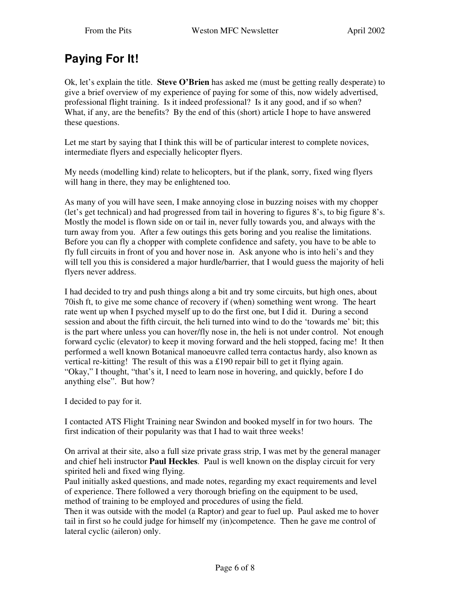# **Paying For It!**

Ok, let's explain the title. **Steve O'Brien** has asked me (must be getting really desperate) to give a brief overview of my experience of paying for some of this, now widely advertised, professional flight training. Is it indeed professional? Is it any good, and if so when? What, if any, are the benefits? By the end of this (short) article I hope to have answered these questions.

Let me start by saying that I think this will be of particular interest to complete novices, intermediate flyers and especially helicopter flyers.

My needs (modelling kind) relate to helicopters, but if the plank, sorry, fixed wing flyers will hang in there, they may be enlightened too.

As many of you will have seen, I make annoying close in buzzing noises with my chopper (let's get technical) and had progressed from tail in hovering to figures 8's, to big figure 8's. Mostly the model is flown side on or tail in, never fully towards you, and always with the turn away from you. After a few outings this gets boring and you realise the limitations. Before you can fly a chopper with complete confidence and safety, you have to be able to fly full circuits in front of you and hover nose in. Ask anyone who is into heli's and they will tell you this is considered a major hurdle/barrier, that I would guess the majority of heli flyers never address.

I had decided to try and push things along a bit and try some circuits, but high ones, about 70ish ft, to give me some chance of recovery if (when) something went wrong. The heart rate went up when I psyched myself up to do the first one, but I did it. During a second session and about the fifth circuit, the heli turned into wind to do the 'towards me' bit; this is the part where unless you can hover/fly nose in, the heli is not under control. Not enough forward cyclic (elevator) to keep it moving forward and the heli stopped, facing me! It then performed a well known Botanical manoeuvre called terra contactus hardy, also known as vertical re-kitting! The result of this was a £190 repair bill to get it flying again. "Okay," I thought, "that's it, I need to learn nose in hovering, and quickly, before I do anything else". But how?

I decided to pay for it.

I contacted ATS Flight Training near Swindon and booked myself in for two hours. The first indication of their popularity was that I had to wait three weeks!

On arrival at their site, also a full size private grass strip, I was met by the general manager and chief heli instructor **Paul Heckles**. Paul is well known on the display circuit for very spirited heli and fixed wing flying.

Paul initially asked questions, and made notes, regarding my exact requirements and level of experience. There followed a very thorough briefing on the equipment to be used, method of training to be employed and procedures of using the field.

Then it was outside with the model (a Raptor) and gear to fuel up. Paul asked me to hover tail in first so he could judge for himself my (in)competence. Then he gave me control of lateral cyclic (aileron) only.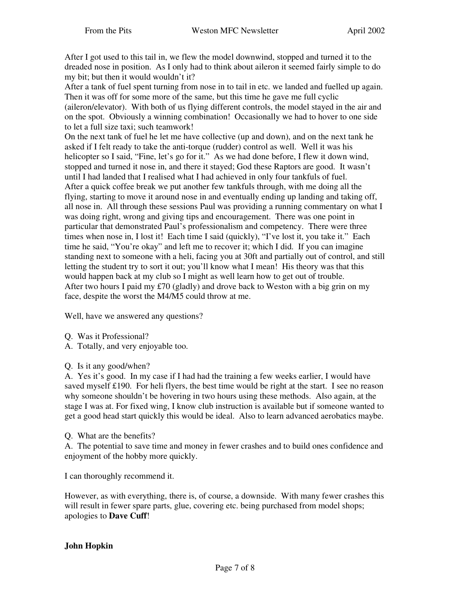After I got used to this tail in, we flew the model downwind, stopped and turned it to the dreaded nose in position. As I only had to think about aileron it seemed fairly simple to do my bit; but then it would wouldn't it?

After a tank of fuel spent turning from nose in to tail in etc. we landed and fuelled up again. Then it was off for some more of the same, but this time he gave me full cyclic

(aileron/elevator). With both of us flying different controls, the model stayed in the air and on the spot. Obviously a winning combination! Occasionally we had to hover to one side to let a full size taxi; such teamwork!

On the next tank of fuel he let me have collective (up and down), and on the next tank he asked if I felt ready to take the anti-torque (rudder) control as well. Well it was his helicopter so I said, "Fine, let's go for it." As we had done before, I flew it down wind, stopped and turned it nose in, and there it stayed; God these Raptors are good. It wasn't until I had landed that I realised what I had achieved in only four tankfuls of fuel. After a quick coffee break we put another few tankfuls through, with me doing all the flying, starting to move it around nose in and eventually ending up landing and taking off, all nose in. All through these sessions Paul was providing a running commentary on what I was doing right, wrong and giving tips and encouragement. There was one point in particular that demonstrated Paul's professionalism and competency. There were three times when nose in, I lost it! Each time I said (quickly), "I've lost it, you take it." Each time he said, "You're okay" and left me to recover it; which I did. If you can imagine standing next to someone with a heli, facing you at 30ft and partially out of control, and still letting the student try to sort it out; you'll know what I mean! His theory was that this would happen back at my club so I might as well learn how to get out of trouble. After two hours I paid my £70 (gladly) and drove back to Weston with a big grin on my face, despite the worst the M4/M5 could throw at me.

Well, have we answered any questions?

- Q. Was it Professional?
- A. Totally, and very enjoyable too.
- Q. Is it any good/when?

A. Yes it's good. In my case if I had had the training a few weeks earlier, I would have saved myself £190. For heli flyers, the best time would be right at the start. I see no reason why someone shouldn't be hovering in two hours using these methods. Also again, at the stage I was at. For fixed wing, I know club instruction is available but if someone wanted to get a good head start quickly this would be ideal. Also to learn advanced aerobatics maybe.

Q. What are the benefits?

A. The potential to save time and money in fewer crashes and to build ones confidence and enjoyment of the hobby more quickly.

I can thoroughly recommend it.

However, as with everything, there is, of course, a downside. With many fewer crashes this will result in fewer spare parts, glue, covering etc. being purchased from model shops; apologies to **Dave Cuff**!

#### **John Hopkin**